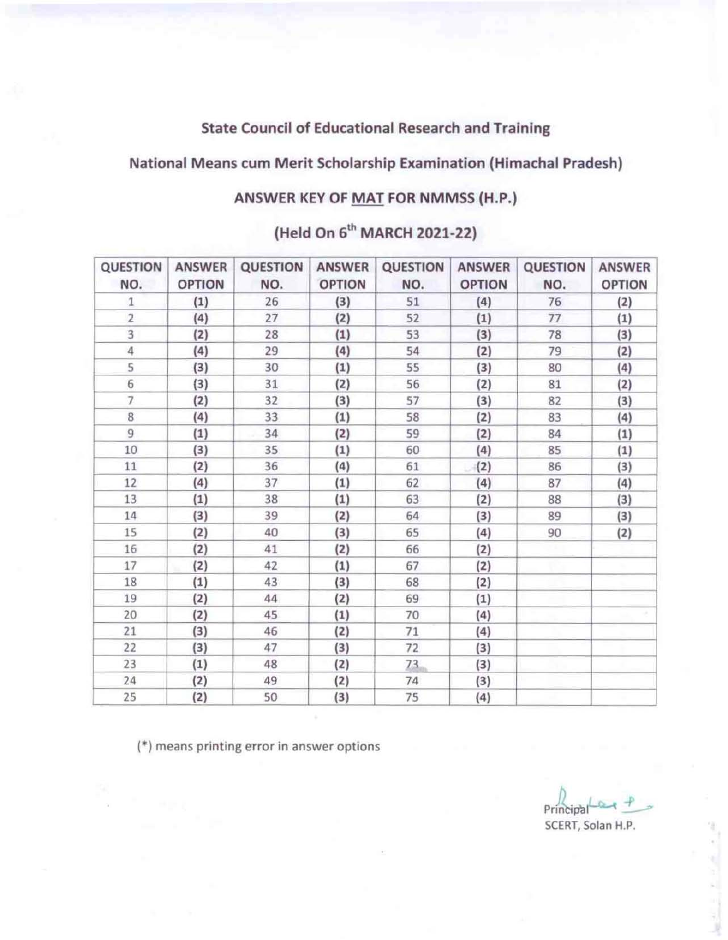### State Council of Educational Research and Training

# National Means cum Merit Scholarship Examination (Himachal Pradesh)

### ANSWER KEY OF MAT FOR NMMSS (H.P.)

# (Held On 6<sup>th</sup> MARCH 2021-22)

| QUESTION<br>NO. | ANSWER<br><b>OPTION</b> | QUESTION<br>NO. | <b>ANSWER</b><br><b>OPTION</b> | QUESTION<br>NO. | <b>ANSWER</b><br><b>OPTION</b> | QUESTION<br>NO. | <b>ANSWER</b><br><b>OPTION</b> |
|-----------------|-------------------------|-----------------|--------------------------------|-----------------|--------------------------------|-----------------|--------------------------------|
| 1               | (1)                     | 26              | (3)                            | 51              | (4)                            | 76              | (2)                            |
| $\overline{2}$  | (4)                     | 27              | (2)                            | 52              | (1)                            | 77              | (1)                            |
| 3               | (2)                     | 28              | (1)                            | 53              | (3)                            | 78              | (3)                            |
| $\overline{4}$  | (4)                     | 29              | (4)                            | 54              | (2)                            | 79              | (2)                            |
| 5               | (3)                     | 30              | (1)                            | 55              | (3)                            | 80              | (4)                            |
| 6               | (3)                     | 31              | (2)                            | 56              | (2)                            | 81              | (2)                            |
| 7               | (2)                     | 32              | (3)                            | 57              | (3)                            | 82              | (3)                            |
| 8               | (4)                     | 33              | (1)                            | 58              | (2)                            | 83              | (4)                            |
| 9               | (1)                     | 34              | (2)                            | 59              | (2)                            | 84              | (1)                            |
| 10              | (3)                     | 35              | (1)                            | 60              | (4)                            | 85              | (1)                            |
| 11              | (2)                     | 36              | (4)                            | 61              | (2)                            | 86              | (3)                            |
| 12              | (4)                     | 37              | (1)                            | 62              | (4)                            | 87              | (4)                            |
| 13              | (1)                     | 38              | (1)                            | 63              | (2)                            | 88              | (3)                            |
| 14              | (3)                     | 39              | (2)                            | 64              | (3)                            | 89              | (3)                            |
| 15              | (2)                     | 40              | (3)                            | 65              | (4)                            | 90              | (2)                            |
| 16              | (2)                     | 41              | (2)                            | 66              | (2)                            |                 |                                |
| 17              | (2)                     | 42              | (1)                            | 67              | (2)                            |                 |                                |
| 18              | (1)                     | 43              | (3)                            | 68              | (2)                            |                 |                                |
| 19              | (2)                     | 44              | (2)                            | 69              | (1)                            |                 |                                |
| 20              | (2)                     | 45              | (1)                            | 70              | (4)                            |                 |                                |
| 21              | (3)                     | 46              | (2)                            | 71              | (4)                            |                 |                                |
| 22              | (3)                     | 47              | (3)                            | 72              | (3)                            |                 |                                |
| 23              | (1)                     | 48              | (2)                            | 73              | (3)                            |                 |                                |
| 24              | (2)                     | 49              | (2)                            | 74              | (3)                            |                 |                                |
| 25              | (2)                     | 50              | (3)                            | 75              | (4)                            |                 |                                |

**(.) means printing error in answer options** 

 $P$ rincipal  $-$ **SCERT, Solan H.P.**